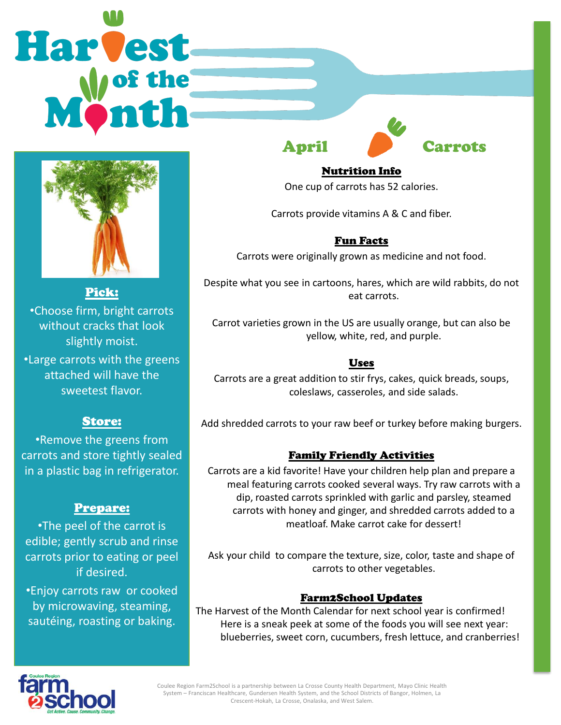# Harvest



Pick: •Choose firm, bright carrots without cracks that look slightly moist.

•Large carrots with the greens attached will have the sweetest flavor.

# Store:

•Remove the greens from carrots and store tightly sealed in a plastic bag in refrigerator.

### Prepare:

•The peel of the carrot is edible; gently scrub and rinse carrots prior to eating or peel if desired.

•Enjoy carrots raw or cooked by microwaving, steaming, sautéing, roasting or baking.



### Nutrition Info

One cup of carrots has 52 calories.

Carrots provide vitamins A & C and fiber.

## Fun Facts

Carrots were originally grown as medicine and not food.

Despite what you see in cartoons, hares, which are wild rabbits, do not eat carrots.

Carrot varieties grown in the US are usually orange, but can also be yellow, white, red, and purple.

### Uses

Carrots are a great addition to stir frys, cakes, quick breads, soups, coleslaws, casseroles, and side salads.

Add shredded carrots to your raw beef or turkey before making burgers.

### Family Friendly Activities

Carrots are a kid favorite! Have your children help plan and prepare a meal featuring carrots cooked several ways. Try raw carrots with a dip, roasted carrots sprinkled with garlic and parsley, steamed carrots with honey and ginger, and shredded carrots added to a meatloaf. Make carrot cake for dessert!

Ask your child to compare the texture, size, color, taste and shape of carrots to other vegetables.

### Farm2School Updates

The Harvest of the Month Calendar for next school year is confirmed! Here is a sneak peek at some of the foods you will see next year: blueberries, sweet corn, cucumbers, fresh lettuce, and cranberries!



Coulee Region Farm2School is a partnership between La Crosse County Health Department, Mayo Clinic Health System – Franciscan Healthcare, Gundersen Health System, and the School Districts of Bangor, Holmen, La Crescent-Hokah, La Crosse, Onalaska, and West Salem.